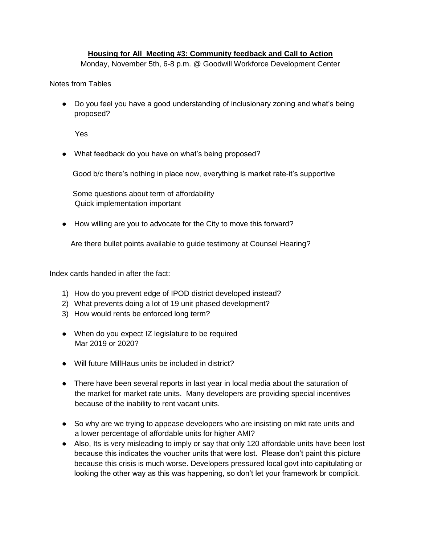## **Housing for All Meeting #3: Community feedback and Call to Action**

Monday, November 5th, 6-8 p.m. @ Goodwill Workforce Development Center

Notes from Tables

• Do you feel you have a good understanding of inclusionary zoning and what's being proposed?

Yes

• What feedback do you have on what's being proposed?

Good b/c there's nothing in place now, everything is market rate-it's supportive

 Some questions about term of affordability Quick implementation important

● How willing are you to advocate for the City to move this forward?

Are there bullet points available to guide testimony at Counsel Hearing?

Index cards handed in after the fact:

- 1) How do you prevent edge of IPOD district developed instead?
- 2) What prevents doing a lot of 19 unit phased development?
- 3) How would rents be enforced long term?
- When do you expect IZ legislature to be required Mar 2019 or 2020?
- Will future MillHaus units be included in district?
- There have been several reports in last year in local media about the saturation of the market for market rate units. Many developers are providing special incentives because of the inability to rent vacant units.
- So why are we trying to appease developers who are insisting on mkt rate units and a lower percentage of affordable units for higher AMI?
- Also, Its is very misleading to imply or say that only 120 affordable units have been lost because this indicates the voucher units that were lost. Please don't paint this picture because this crisis is much worse. Developers pressured local govt into capitulating or looking the other way as this was happening, so don't let your framework br complicit.